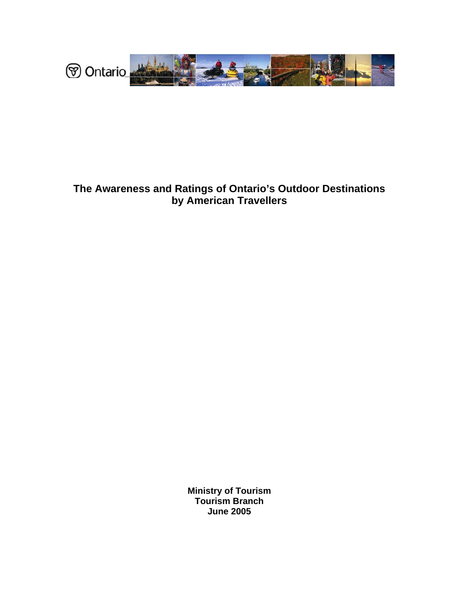

# **The Awareness and Ratings of Ontario's Outdoor Destinations by American Travellers**

**Ministry of Tourism Tourism Branch June 2005**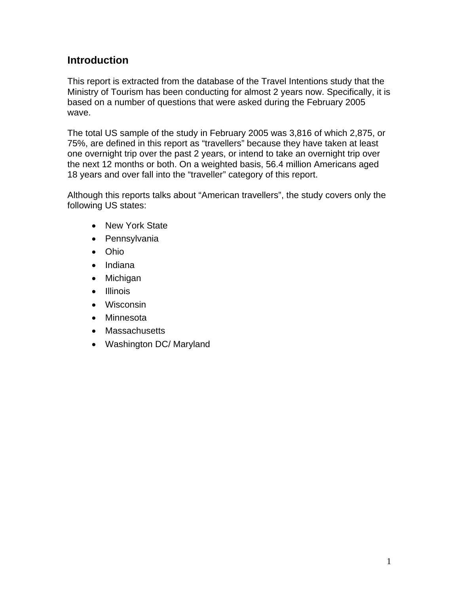## **Introduction**

This report is extracted from the database of the Travel Intentions study that the Ministry of Tourism has been conducting for almost 2 years now. Specifically, it is based on a number of questions that were asked during the February 2005 wave.

The total US sample of the study in February 2005 was 3,816 of which 2,875, or 75%, are defined in this report as "travellers" because they have taken at least one overnight trip over the past 2 years, or intend to take an overnight trip over the next 12 months or both. On a weighted basis, 56.4 million Americans aged 18 years and over fall into the "traveller" category of this report.

Although this reports talks about "American travellers", the study covers only the following US states:

- New York State
- Pennsylvania
- Ohio
- Indiana
- Michigan
- Illinois
- Wisconsin
- Minnesota
- Massachusetts
- Washington DC/ Maryland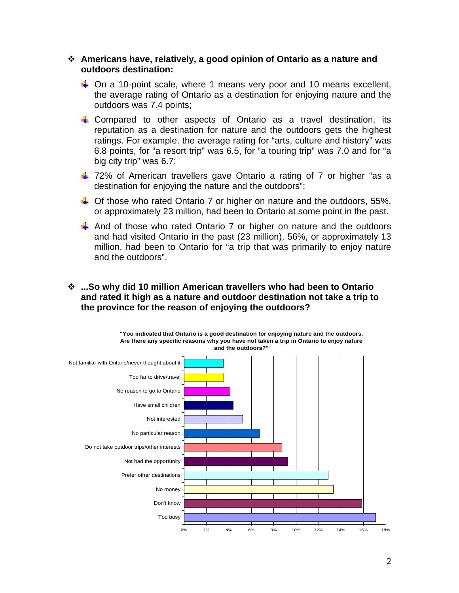#### **Americans have, relatively, a good opinion of Ontario as a nature and outdoors destination:**

- $\downarrow$  On a 10-point scale, where 1 means very poor and 10 means excellent, the average rating of Ontario as a destination for enjoying nature and the outdoors was 7.4 points;
- Compared to other aspects of Ontario as a travel destination, its reputation as a destination for nature and the outdoors gets the highest ratings. For example, the average rating for "arts, culture and history" was 6.8 points, for "a resort trip" was 6.5, for "a touring trip" was 7.0 and for "a big city trip" was 6.7;
- $\pm$  72% of American travellers gave Ontario a rating of 7 or higher "as a destination for enjoying the nature and the outdoors";
- $\downarrow$  Of those who rated Ontario 7 or higher on nature and the outdoors, 55%, or approximately 23 million, had been to Ontario at some point in the past.
- $\downarrow$  And of those who rated Ontario 7 or higher on nature and the outdoors and had visited Ontario in the past (23 million), 56%, or approximately 13 million, had been to Ontario for "a trip that was primarily to enjoy nature and the outdoors".

### **...So why did 10 million American travellers who had been to Ontario and rated it high as a nature and outdoor destination not take a trip to the province for the reason of enjoying the outdoors?**

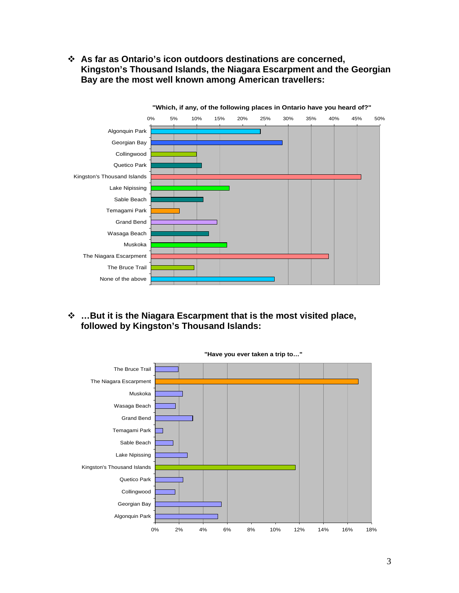**As far as Ontario's icon outdoors destinations are concerned, Kingston's Thousand Islands, the Niagara Escarpment and the Georgian Bay are the most well known among American travellers:** 



 **…But it is the Niagara Escarpment that is the most visited place, followed by Kingston's Thousand Islands:** 



**"Have you ever taken a trip to…"**